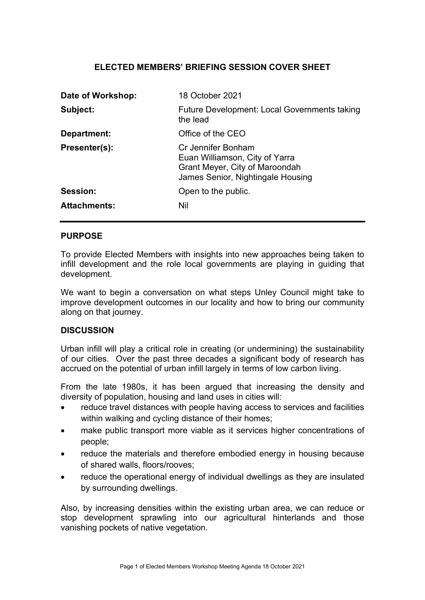## ELECTED MEMBERS' BRIEFING SESSION COVER SHEET

| Date of Workshop:   | 18 October 2021                                                                                                             |
|---------------------|-----------------------------------------------------------------------------------------------------------------------------|
| Subject:            | <b>Future Development: Local Governments taking</b><br>the lead                                                             |
| Department:         | Office of the CEO                                                                                                           |
| Presenter(s):       | Cr Jennifer Bonham<br>Euan Williamson, City of Yarra<br>Grant Meyer, City of Maroondah<br>James Senior, Nightingale Housing |
| Session:            | Open to the public.                                                                                                         |
| <b>Attachments:</b> | Nil                                                                                                                         |

#### PURPOSE

To provide Elected Members with insights into new approaches being taken to infill development and the role local governments are playing in guiding that development.

We want to begin a conversation on what steps Unley Council might take to improve development outcomes in our locality and how to bring our community along on that journey.

### **DISCUSSION**

Urban infill will play a critical role in creating (or undermining) the sustainability of our cities. Over the past three decades a significant body of research has accrued on the potential of urban infill largely in terms of low carbon living.

From the late 1980s, it has been argued that increasing the density and diversity of population, housing and land uses in cities will:

- reduce travel distances with people having access to services and facilities within walking and cycling distance of their homes;
- make public transport more viable as it services higher concentrations of people;
- reduce the materials and therefore embodied energy in housing because of shared walls, floors/rooves;
- reduce the operational energy of individual dwellings as they are insulated by surrounding dwellings.

Also, by increasing densities within the existing urban area, we can reduce or stop development sprawling into our agricultural hinterlands and those vanishing pockets of native vegetation.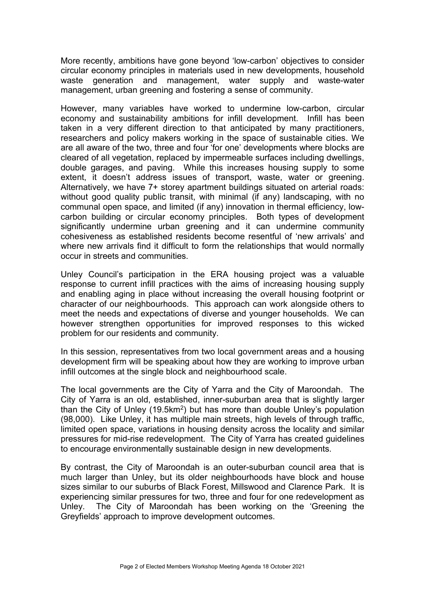More recently, ambitions have gone beyond 'low-carbon' objectives to consider circular economy principles in materials used in new developments, household waste generation and management, water supply and waste-water management, urban greening and fostering a sense of community.

However, many variables have worked to undermine low-carbon, circular economy and sustainability ambitions for infill development. Infill has been taken in a very different direction to that anticipated by many practitioners, researchers and policy makers working in the space of sustainable cities. We are all aware of the two, three and four 'for one' developments where blocks are cleared of all vegetation, replaced by impermeable surfaces including dwellings, double garages, and paving. While this increases housing supply to some extent, it doesn't address issues of transport, waste, water or greening. Alternatively, we have 7+ storey apartment buildings situated on arterial roads: without good quality public transit, with minimal (if any) landscaping, with no communal open space, and limited (if any) innovation in thermal efficiency, lowcarbon building or circular economy principles. Both types of development significantly undermine urban greening and it can undermine community cohesiveness as established residents become resentful of 'new arrivals' and where new arrivals find it difficult to form the relationships that would normally occur in streets and communities.

Unley Council's participation in the ERA housing project was a valuable response to current infill practices with the aims of increasing housing supply and enabling aging in place without increasing the overall housing footprint or character of our neighbourhoods. This approach can work alongside others to meet the needs and expectations of diverse and younger households. We can however strengthen opportunities for improved responses to this wicked problem for our residents and community.

In this session, representatives from two local government areas and a housing development firm will be speaking about how they are working to improve urban infill outcomes at the single block and neighbourhood scale.

The local governments are the City of Yarra and the City of Maroondah. The City of Yarra is an old, established, inner-suburban area that is slightly larger than the City of Unley (19.5km<sup>2</sup>) but has more than double Unley's population (98,000). Like Unley, it has multiple main streets, high levels of through traffic, limited open space, variations in housing density across the locality and similar pressures for mid-rise redevelopment. The City of Yarra has created guidelines to encourage environmentally sustainable design in new developments.

By contrast, the City of Maroondah is an outer-suburban council area that is much larger than Unley, but its older neighbourhoods have block and house sizes similar to our suburbs of Black Forest, Millswood and Clarence Park. It is experiencing similar pressures for two, three and four for one redevelopment as Unley. The City of Maroondah has been working on the 'Greening the Greyfields' approach to improve development outcomes.